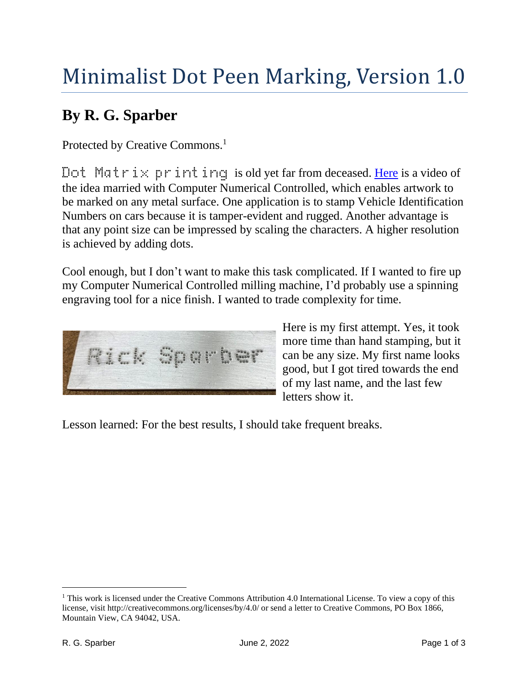## Minimalist Dot Peen Marking, Version 1.0

## **By R. G. Sparber**

Protected by Creative Commons.<sup>1</sup>

Dot Matrix printing is old yet far from deceased. [Here](https://www.youtube.com/watch?v=BwTYX2Fu12A) is a video of the idea married with Computer Numerical Controlled, which enables artwork to be marked on any metal surface. One application is to stamp Vehicle Identification Numbers on cars because it is tamper-evident and rugged. Another advantage is that any point size can be impressed by scaling the characters. A higher resolution is achieved by adding dots.

Cool enough, but I don't want to make this task complicated. If I wanted to fire up my Computer Numerical Controlled milling machine, I'd probably use a spinning engraving tool for a nice finish. I wanted to trade complexity for time.



Here is my first attempt. Yes, it took more time than hand stamping, but it can be any size. My first name looks good, but I got tired towards the end of my last name, and the last few letters show it.

Lesson learned: For the best results, I should take frequent breaks.

<sup>&</sup>lt;sup>1</sup> This work is licensed under the Creative Commons Attribution 4.0 International License. To view a copy of this license, visit http://creativecommons.org/licenses/by/4.0/ or send a letter to Creative Commons, PO Box 1866, Mountain View, CA 94042, USA.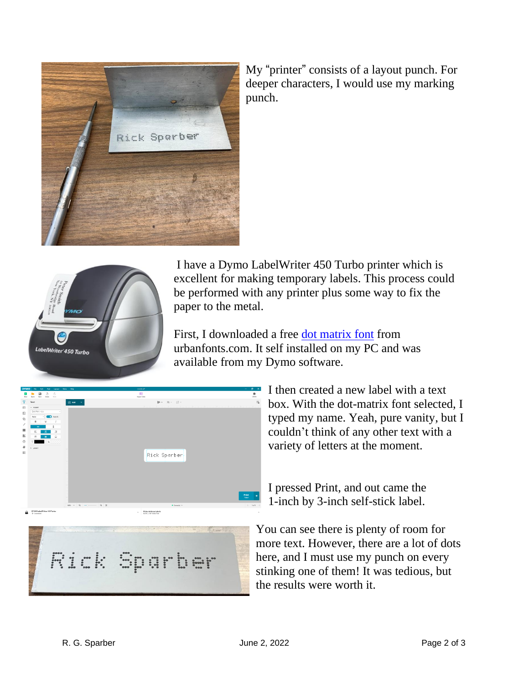

My "printer" consists of a layout punch. For deeper characters, I would use my marking punch.



I have a Dymo LabelWriter 450 Turbo printer which is excellent for making temporary labels. This process could be performed with any printer plus some way to fix the paper to the metal.

First, I downloaded a free [dot matrix font](https://www.urbanfonts.com/fonts/DotMatrix.font) from urbanfonts.com. It self installed on my PC and was available from my Dymo software.



I then created a new label with a text box. With the dot-matrix font selected, I typed my name. Yeah, pure vanity, but I couldn't think of any other text with a variety of letters at the moment.

I pressed Print, and out came the 1-inch by 3-inch self-stick label.



You can see there is plenty of room for more text. However, there are a lot of dots here, and I must use my punch on every stinking one of them! It was tedious, but the results were worth it.